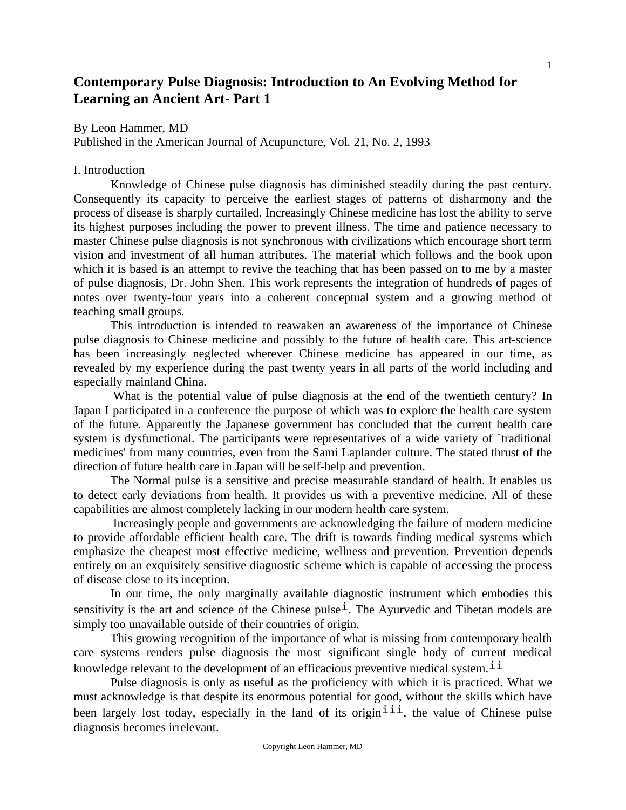# **Contemporary Pulse Diagnosis: Introduction to An Evolving Method for Learning an Ancient Art- Part 1**

By Leon Hammer, MD

Published in the American Journal of Acupuncture, Vol. 21, No. 2, 1993

#### I. Introduction

 Knowledge of Chinese pulse diagnosis has diminished steadily during the past century. Consequently its capacity to perceive the earliest stages of patterns of disharmony and the process of disease is sharply curtailed. Increasingly Chinese medicine has lost the ability to serve its highest purposes including the power to prevent illness. The time and patience necessary to master Chinese pulse diagnosis is not synchronous with civilizations which encourage short term vision and investment of all human attributes. The material which follows and the book upon which it is based is an attempt to revive the teaching that has been passed on to me by a master of pulse diagnosis, Dr. John Shen. This work represents the integration of hundreds of pages of notes over twenty-four years into a coherent conceptual system and a growing method of teaching small groups.

 This introduction is intended to reawaken an awareness of the importance of Chinese pulse diagnosis to Chinese medicine and possibly to the future of health care. This art-science has been increasingly neglected wherever Chinese medicine has appeared in our time, as revealed by my experience during the past twenty years in all parts of the world including and especially mainland China.

 What is the potential value of pulse diagnosis at the end of the twentieth century? In Japan I participated in a conference the purpose of which was to explore the health care system of the future. Apparently the Japanese government has concluded that the current health care system is dysfunctional. The participants were representatives of a wide variety of `traditional medicines' from many countries, even from the Sami Laplander culture. The stated thrust of the direction of future health care in Japan will be self-help and prevention.

 The Normal pulse is a sensitive and precise measurable standard of health. It enables us to detect early deviations from health. It provides us with a preventive medicine. All of these capabilities are almost completely lacking in our modern health care system.

 Increasingly people and governments are acknowledging the failure of modern medicine to provide affordable efficient health care. The drift is towards finding medical systems which emphasize the cheapest most effective medicine, wellness and prevention. Prevention depends entirely on an exquisitely sensitive diagnostic scheme which is capable of accessing the process of disease close to its inception.

 In our time, the only marginally available diagnostic instrument which embodies this sensitivity is the art and science of the Chinese pulse<sup>1</sup>. The Ayurvedic and Tibetan models are simply too unavailable outside of their countries of origin.

 This growing recognition of the importance of what is missing from contemporary health care systems renders pulse diagnosis the most significant single body of current medical knowledge relevant to the development of an efficacious preventive medical system.<sup> $11$ </sup>

 Pulse diagnosis is only as useful as the proficiency with which it is practiced. What we must acknowledge is that despite its enormous potential for good, without the skills which have been largely lost today, especially in the land of its origin<sup> $\text{iii},$ </sup> the value of Chinese pulse diagnosis becomes irrelevant.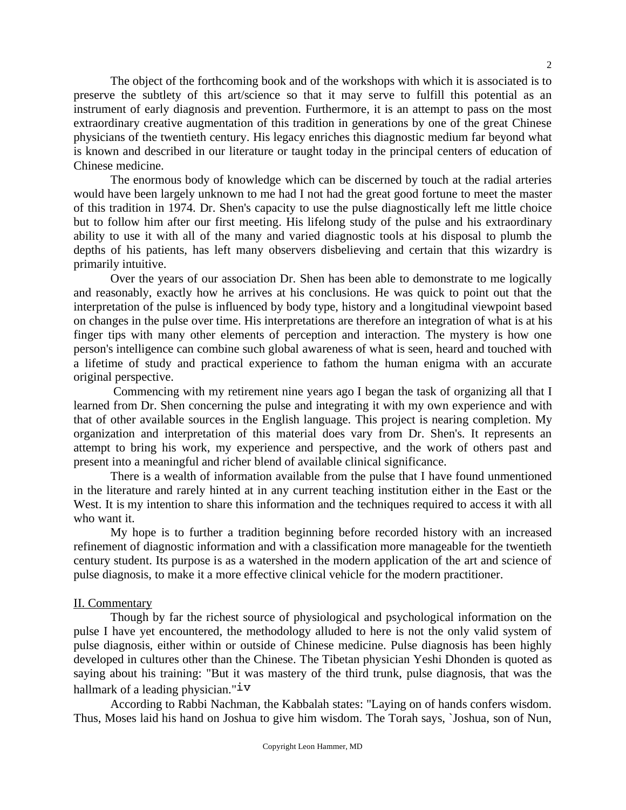The object of the forthcoming book and of the workshops with which it is associated is to preserve the subtlety of this art/science so that it may serve to fulfill this potential as an instrument of early diagnosis and prevention. Furthermore, it is an attempt to pass on the most extraordinary creative augmentation of this tradition in generations by one of the great Chinese physicians of the twentieth century. His legacy enriches this diagnostic medium far beyond what is known and described in our literature or taught today in the principal centers of education of Chinese medicine.

 The enormous body of knowledge which can be discerned by touch at the radial arteries would have been largely unknown to me had I not had the great good fortune to meet the master of this tradition in 1974. Dr. Shen's capacity to use the pulse diagnostically left me little choice but to follow him after our first meeting. His lifelong study of the pulse and his extraordinary ability to use it with all of the many and varied diagnostic tools at his disposal to plumb the depths of his patients, has left many observers disbelieving and certain that this wizardry is primarily intuitive.

 Over the years of our association Dr. Shen has been able to demonstrate to me logically and reasonably, exactly how he arrives at his conclusions. He was quick to point out that the interpretation of the pulse is influenced by body type, history and a longitudinal viewpoint based on changes in the pulse over time. His interpretations are therefore an integration of what is at his finger tips with many other elements of perception and interaction. The mystery is how one person's intelligence can combine such global awareness of what is seen, heard and touched with a lifetime of study and practical experience to fathom the human enigma with an accurate original perspective.

 Commencing with my retirement nine years ago I began the task of organizing all that I learned from Dr. Shen concerning the pulse and integrating it with my own experience and with that of other available sources in the English language. This project is nearing completion. My organization and interpretation of this material does vary from Dr. Shen's. It represents an attempt to bring his work, my experience and perspective, and the work of others past and present into a meaningful and richer blend of available clinical significance.

 There is a wealth of information available from the pulse that I have found unmentioned in the literature and rarely hinted at in any current teaching institution either in the East or the West. It is my intention to share this information and the techniques required to access it with all who want it.

 My hope is to further a tradition beginning before recorded history with an increased refinement of diagnostic information and with a classification more manageable for the twentieth century student. Its purpose is as a watershed in the modern application of the art and science of pulse diagnosis, to make it a more effective clinical vehicle for the modern practitioner.

#### II. Commentary

 Though by far the richest source of physiological and psychological information on the pulse I have yet encountered, the methodology alluded to here is not the only valid system of pulse diagnosis, either within or outside of Chinese medicine. Pulse diagnosis has been highly developed in cultures other than the Chinese. The Tibetan physician Yeshi Dhonden is quoted as saying about his training: "But it was mastery of the third trunk, pulse diagnosis, that was the hallmark of a leading physician." $iv$ 

 According to Rabbi Nachman, the Kabbalah states: "Laying on of hands confers wisdom. Thus, Moses laid his hand on Joshua to give him wisdom. The Torah says, `Joshua, son of Nun,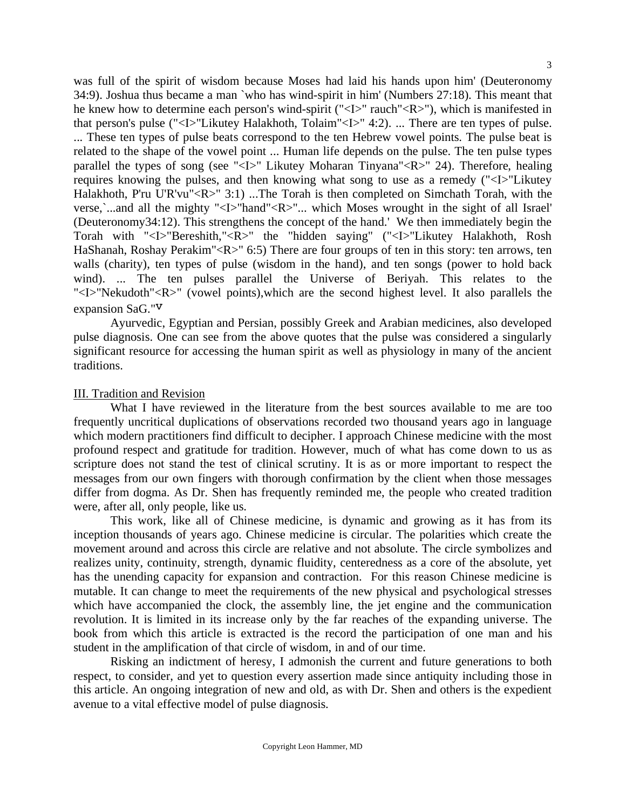was full of the spirit of wisdom because Moses had laid his hands upon him' (Deuteronomy 34:9). Joshua thus became a man `who has wind-spirit in him' (Numbers 27:18). This meant that he knew how to determine each person's wind-spirit ("<I>" rauch"<R>"), which is manifested in that person's pulse ("<I>"Likutey Halakhoth, Tolaim"<I>" 4:2). ... There are ten types of pulse. ... These ten types of pulse beats correspond to the ten Hebrew vowel points. The pulse beat is related to the shape of the vowel point ... Human life depends on the pulse. The ten pulse types parallel the types of song (see "<I>" Likutey Moharan Tinyana"<R>" 24). Therefore, healing requires knowing the pulses, and then knowing what song to use as a remedy ("<I>"Likutey Halakhoth, P'ru U'R'vu"<R>" 3:1) ...The Torah is then completed on Simchath Torah, with the verse, …and all the mighty "<I>"hand"<R>"... which Moses wrought in the sight of all Israel' (Deuteronomy34:12). This strengthens the concept of the hand.' We then immediately begin the Torah with "<I>"Bereshith,"<R>" the "hidden saying" ("<I>"Likutey Halakhoth, Rosh HaShanah, Roshay Perakim"<R>" 6:5) There are four groups of ten in this story: ten arrows, ten walls (charity), ten types of pulse (wisdom in the hand), and ten songs (power to hold back wind). ... The ten pulses parallel the Universe of Beriyah. This relates to the "<I>"Nekudoth"<R>" (vowel points),which are the second highest level. It also parallels the expansion SaG."v

 Ayurvedic, Egyptian and Persian, possibly Greek and Arabian medicines, also developed pulse diagnosis. One can see from the above quotes that the pulse was considered a singularly significant resource for accessing the human spirit as well as physiology in many of the ancient traditions.

#### III. Tradition and Revision

 What I have reviewed in the literature from the best sources available to me are too frequently uncritical duplications of observations recorded two thousand years ago in language which modern practitioners find difficult to decipher. I approach Chinese medicine with the most profound respect and gratitude for tradition. However, much of what has come down to us as scripture does not stand the test of clinical scrutiny. It is as or more important to respect the messages from our own fingers with thorough confirmation by the client when those messages differ from dogma. As Dr. Shen has frequently reminded me, the people who created tradition were, after all, only people, like us.

 This work, like all of Chinese medicine, is dynamic and growing as it has from its inception thousands of years ago. Chinese medicine is circular. The polarities which create the movement around and across this circle are relative and not absolute. The circle symbolizes and realizes unity, continuity, strength, dynamic fluidity, centeredness as a core of the absolute, yet has the unending capacity for expansion and contraction. For this reason Chinese medicine is mutable. It can change to meet the requirements of the new physical and psychological stresses which have accompanied the clock, the assembly line, the jet engine and the communication revolution. It is limited in its increase only by the far reaches of the expanding universe. The book from which this article is extracted is the record the participation of one man and his student in the amplification of that circle of wisdom, in and of our time.

 Risking an indictment of heresy, I admonish the current and future generations to both respect, to consider, and yet to question every assertion made since antiquity including those in this article. An ongoing integration of new and old, as with Dr. Shen and others is the expedient avenue to a vital effective model of pulse diagnosis.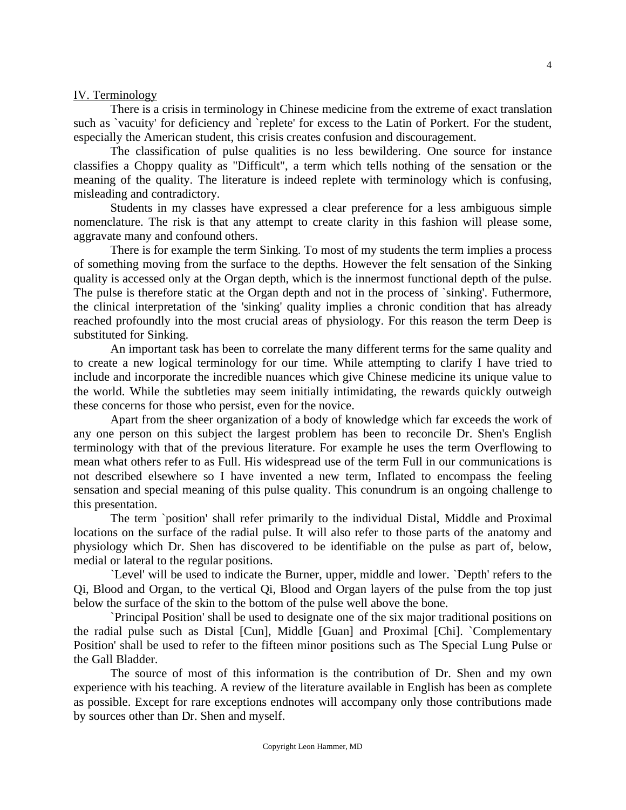#### IV. Terminology

 There is a crisis in terminology in Chinese medicine from the extreme of exact translation such as `vacuity' for deficiency and `replete' for excess to the Latin of Porkert. For the student, especially the American student, this crisis creates confusion and discouragement.

 The classification of pulse qualities is no less bewildering. One source for instance classifies a Choppy quality as "Difficult", a term which tells nothing of the sensation or the meaning of the quality. The literature is indeed replete with terminology which is confusing, misleading and contradictory.

 Students in my classes have expressed a clear preference for a less ambiguous simple nomenclature. The risk is that any attempt to create clarity in this fashion will please some, aggravate many and confound others.

 There is for example the term Sinking. To most of my students the term implies a process of something moving from the surface to the depths. However the felt sensation of the Sinking quality is accessed only at the Organ depth, which is the innermost functional depth of the pulse. The pulse is therefore static at the Organ depth and not in the process of `sinking'. Futhermore, the clinical interpretation of the 'sinking' quality implies a chronic condition that has already reached profoundly into the most crucial areas of physiology. For this reason the term Deep is substituted for Sinking.

 An important task has been to correlate the many different terms for the same quality and to create a new logical terminology for our time. While attempting to clarify I have tried to include and incorporate the incredible nuances which give Chinese medicine its unique value to the world. While the subtleties may seem initially intimidating, the rewards quickly outweigh these concerns for those who persist, even for the novice.

 Apart from the sheer organization of a body of knowledge which far exceeds the work of any one person on this subject the largest problem has been to reconcile Dr. Shen's English terminology with that of the previous literature. For example he uses the term Overflowing to mean what others refer to as Full. His widespread use of the term Full in our communications is not described elsewhere so I have invented a new term, Inflated to encompass the feeling sensation and special meaning of this pulse quality. This conundrum is an ongoing challenge to this presentation.

 The term `position' shall refer primarily to the individual Distal, Middle and Proximal locations on the surface of the radial pulse. It will also refer to those parts of the anatomy and physiology which Dr. Shen has discovered to be identifiable on the pulse as part of, below, medial or lateral to the regular positions.

 `Level' will be used to indicate the Burner, upper, middle and lower. `Depth' refers to the Qi, Blood and Organ, to the vertical Qi, Blood and Organ layers of the pulse from the top just below the surface of the skin to the bottom of the pulse well above the bone.

 `Principal Position' shall be used to designate one of the six major traditional positions on the radial pulse such as Distal [Cun], Middle [Guan] and Proximal [Chi]. `Complementary Position' shall be used to refer to the fifteen minor positions such as The Special Lung Pulse or the Gall Bladder.

 The source of most of this information is the contribution of Dr. Shen and my own experience with his teaching. A review of the literature available in English has been as complete as possible. Except for rare exceptions endnotes will accompany only those contributions made by sources other than Dr. Shen and myself.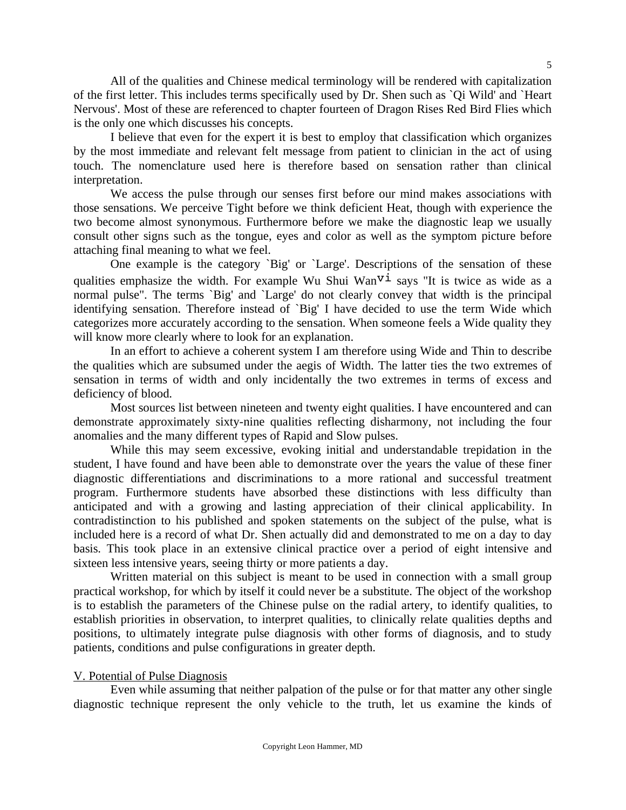All of the qualities and Chinese medical terminology will be rendered with capitalization of the first letter. This includes terms specifically used by Dr. Shen such as `Qi Wild' and `Heart Nervous'. Most of these are referenced to chapter fourteen of Dragon Rises Red Bird Flies which is the only one which discusses his concepts.

 I believe that even for the expert it is best to employ that classification which organizes by the most immediate and relevant felt message from patient to clinician in the act of using touch. The nomenclature used here is therefore based on sensation rather than clinical interpretation.

 We access the pulse through our senses first before our mind makes associations with those sensations. We perceive Tight before we think deficient Heat, though with experience the two become almost synonymous. Furthermore before we make the diagnostic leap we usually consult other signs such as the tongue, eyes and color as well as the symptom picture before attaching final meaning to what we feel.

 One example is the category `Big' or `Large'. Descriptions of the sensation of these qualities emphasize the width. For example Wu Shui Wan<sup> $\rm{v\dot{i}}$ </sup> says "It is twice as wide as a normal pulse". The terms `Big' and `Large' do not clearly convey that width is the principal identifying sensation. Therefore instead of `Big' I have decided to use the term Wide which categorizes more accurately according to the sensation. When someone feels a Wide quality they will know more clearly where to look for an explanation.

 In an effort to achieve a coherent system I am therefore using Wide and Thin to describe the qualities which are subsumed under the aegis of Width. The latter ties the two extremes of sensation in terms of width and only incidentally the two extremes in terms of excess and deficiency of blood.

 Most sources list between nineteen and twenty eight qualities. I have encountered and can demonstrate approximately sixty-nine qualities reflecting disharmony, not including the four anomalies and the many different types of Rapid and Slow pulses.

 While this may seem excessive, evoking initial and understandable trepidation in the student, I have found and have been able to demonstrate over the years the value of these finer diagnostic differentiations and discriminations to a more rational and successful treatment program. Furthermore students have absorbed these distinctions with less difficulty than anticipated and with a growing and lasting appreciation of their clinical applicability. In contradistinction to his published and spoken statements on the subject of the pulse, what is included here is a record of what Dr. Shen actually did and demonstrated to me on a day to day basis. This took place in an extensive clinical practice over a period of eight intensive and sixteen less intensive years, seeing thirty or more patients a day.

 Written material on this subject is meant to be used in connection with a small group practical workshop, for which by itself it could never be a substitute. The object of the workshop is to establish the parameters of the Chinese pulse on the radial artery, to identify qualities, to establish priorities in observation, to interpret qualities, to clinically relate qualities depths and positions, to ultimately integrate pulse diagnosis with other forms of diagnosis, and to study patients, conditions and pulse configurations in greater depth.

#### V. Potential of Pulse Diagnosis

 Even while assuming that neither palpation of the pulse or for that matter any other single diagnostic technique represent the only vehicle to the truth, let us examine the kinds of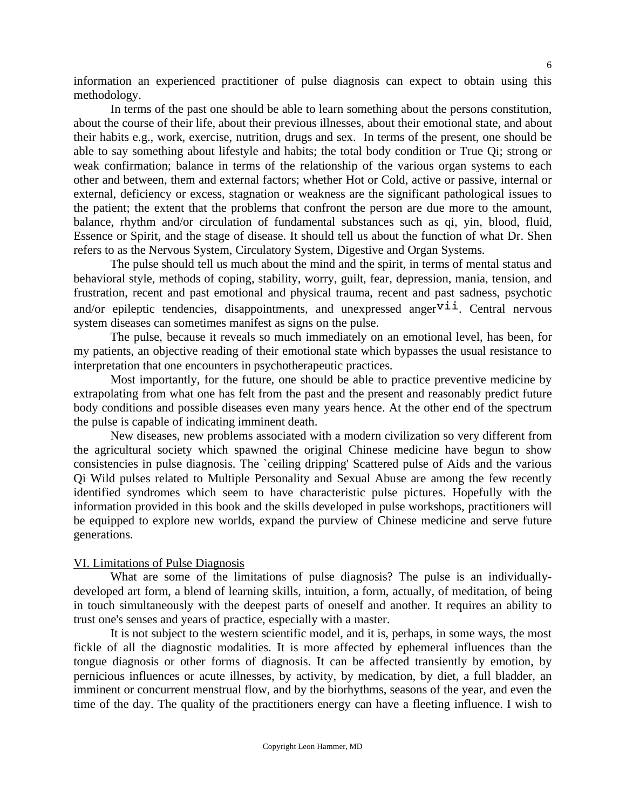information an experienced practitioner of pulse diagnosis can expect to obtain using this methodology.

 In terms of the past one should be able to learn something about the persons constitution, about the course of their life, about their previous illnesses, about their emotional state, and about their habits e.g., work, exercise, nutrition, drugs and sex. In terms of the present, one should be able to say something about lifestyle and habits; the total body condition or True Qi; strong or weak confirmation; balance in terms of the relationship of the various organ systems to each other and between, them and external factors; whether Hot or Cold, active or passive, internal or external, deficiency or excess, stagnation or weakness are the significant pathological issues to the patient; the extent that the problems that confront the person are due more to the amount, balance, rhythm and/or circulation of fundamental substances such as qi, yin, blood, fluid, Essence or Spirit, and the stage of disease. It should tell us about the function of what Dr. Shen refers to as the Nervous System, Circulatory System, Digestive and Organ Systems.

 The pulse should tell us much about the mind and the spirit, in terms of mental status and behavioral style, methods of coping, stability, worry, guilt, fear, depression, mania, tension, and frustration, recent and past emotional and physical trauma, recent and past sadness, psychotic and/or epileptic tendencies, disappointments, and unexpressed anger $v$ <sup>i</sup>. Central nervous system diseases can sometimes manifest as signs on the pulse.

 The pulse, because it reveals so much immediately on an emotional level, has been, for my patients, an objective reading of their emotional state which bypasses the usual resistance to interpretation that one encounters in psychotherapeutic practices.

 Most importantly, for the future, one should be able to practice preventive medicine by extrapolating from what one has felt from the past and the present and reasonably predict future body conditions and possible diseases even many years hence. At the other end of the spectrum the pulse is capable of indicating imminent death.

 New diseases, new problems associated with a modern civilization so very different from the agricultural society which spawned the original Chinese medicine have begun to show consistencies in pulse diagnosis. The `ceiling dripping' Scattered pulse of Aids and the various Qi Wild pulses related to Multiple Personality and Sexual Abuse are among the few recently identified syndromes which seem to have characteristic pulse pictures. Hopefully with the information provided in this book and the skills developed in pulse workshops, practitioners will be equipped to explore new worlds, expand the purview of Chinese medicine and serve future generations.

#### VI. Limitations of Pulse Diagnosis

 What are some of the limitations of pulse diagnosis? The pulse is an individuallydeveloped art form, a blend of learning skills, intuition, a form, actually, of meditation, of being in touch simultaneously with the deepest parts of oneself and another. It requires an ability to trust one's senses and years of practice, especially with a master.

 It is not subject to the western scientific model, and it is, perhaps, in some ways, the most fickle of all the diagnostic modalities. It is more affected by ephemeral influences than the tongue diagnosis or other forms of diagnosis. It can be affected transiently by emotion, by pernicious influences or acute illnesses, by activity, by medication, by diet, a full bladder, an imminent or concurrent menstrual flow, and by the biorhythms, seasons of the year, and even the time of the day. The quality of the practitioners energy can have a fleeting influence. I wish to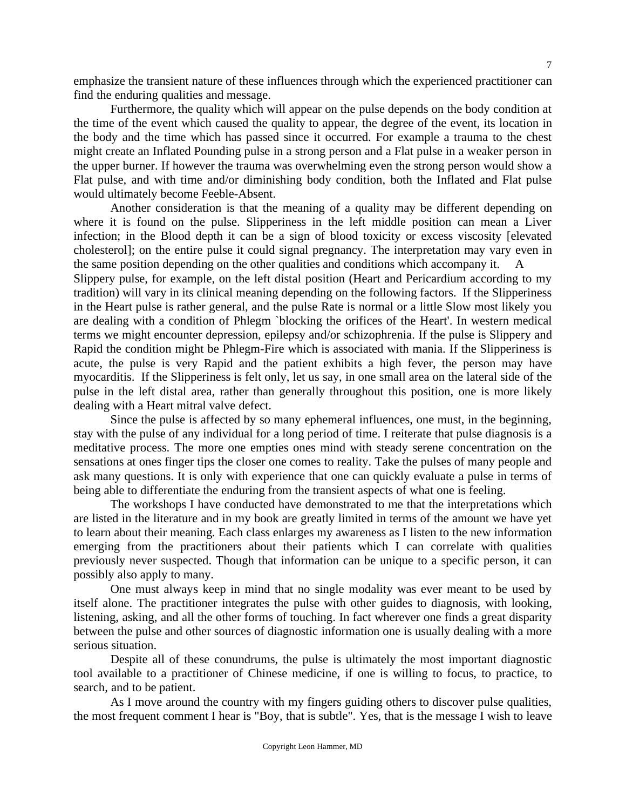emphasize the transient nature of these influences through which the experienced practitioner can find the enduring qualities and message.

 Furthermore, the quality which will appear on the pulse depends on the body condition at the time of the event which caused the quality to appear, the degree of the event, its location in the body and the time which has passed since it occurred. For example a trauma to the chest might create an Inflated Pounding pulse in a strong person and a Flat pulse in a weaker person in the upper burner. If however the trauma was overwhelming even the strong person would show a Flat pulse, and with time and/or diminishing body condition, both the Inflated and Flat pulse would ultimately become Feeble-Absent.

 Another consideration is that the meaning of a quality may be different depending on where it is found on the pulse. Slipperiness in the left middle position can mean a Liver infection; in the Blood depth it can be a sign of blood toxicity or excess viscosity [elevated cholesterol]; on the entire pulse it could signal pregnancy. The interpretation may vary even in the same position depending on the other qualities and conditions which accompany it. A

Slippery pulse, for example, on the left distal position (Heart and Pericardium according to my tradition) will vary in its clinical meaning depending on the following factors. If the Slipperiness in the Heart pulse is rather general, and the pulse Rate is normal or a little Slow most likely you are dealing with a condition of Phlegm `blocking the orifices of the Heart'. In western medical terms we might encounter depression, epilepsy and/or schizophrenia. If the pulse is Slippery and Rapid the condition might be Phlegm-Fire which is associated with mania. If the Slipperiness is acute, the pulse is very Rapid and the patient exhibits a high fever, the person may have myocarditis. If the Slipperiness is felt only, let us say, in one small area on the lateral side of the pulse in the left distal area, rather than generally throughout this position, one is more likely dealing with a Heart mitral valve defect.

 Since the pulse is affected by so many ephemeral influences, one must, in the beginning, stay with the pulse of any individual for a long period of time. I reiterate that pulse diagnosis is a meditative process. The more one empties ones mind with steady serene concentration on the sensations at ones finger tips the closer one comes to reality. Take the pulses of many people and ask many questions. It is only with experience that one can quickly evaluate a pulse in terms of being able to differentiate the enduring from the transient aspects of what one is feeling.

 The workshops I have conducted have demonstrated to me that the interpretations which are listed in the literature and in my book are greatly limited in terms of the amount we have yet to learn about their meaning. Each class enlarges my awareness as I listen to the new information emerging from the practitioners about their patients which I can correlate with qualities previously never suspected. Though that information can be unique to a specific person, it can possibly also apply to many.

 One must always keep in mind that no single modality was ever meant to be used by itself alone. The practitioner integrates the pulse with other guides to diagnosis, with looking, listening, asking, and all the other forms of touching. In fact wherever one finds a great disparity between the pulse and other sources of diagnostic information one is usually dealing with a more serious situation.

 Despite all of these conundrums, the pulse is ultimately the most important diagnostic tool available to a practitioner of Chinese medicine, if one is willing to focus, to practice, to search, and to be patient.

 As I move around the country with my fingers guiding others to discover pulse qualities, the most frequent comment I hear is "Boy, that is subtle". Yes, that is the message I wish to leave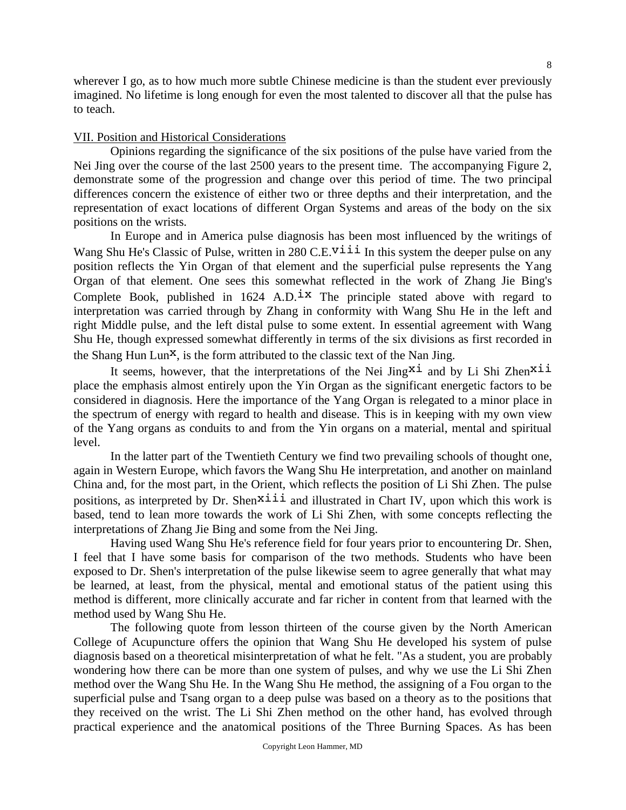wherever I go, as to how much more subtle Chinese medicine is than the student ever previously imagined. No lifetime is long enough for even the most talented to discover all that the pulse has to teach.

#### VII. Position and Historical Considerations

 Opinions regarding the significance of the six positions of the pulse have varied from the Nei Jing over the course of the last 2500 years to the present time. The accompanying Figure 2, demonstrate some of the progression and change over this period of time. The two principal differences concern the existence of either two or three depths and their interpretation, and the representation of exact locations of different Organ Systems and areas of the body on the six positions on the wrists.

 In Europe and in America pulse diagnosis has been most influenced by the writings of Wang Shu He's Classic of Pulse, written in 280 C.E.<sup>viii</sup> In this system the deeper pulse on any position reflects the Yin Organ of that element and the superficial pulse represents the Yang Organ of that element. One sees this somewhat reflected in the work of Zhang Jie Bing's Complete Book, published in  $1624$  A.D.<sup>1x</sup> The principle stated above with regard to interpretation was carried through by Zhang in conformity with Wang Shu He in the left and right Middle pulse, and the left distal pulse to some extent. In essential agreement with Wang Shu He, though expressed somewhat differently in terms of the six divisions as first recorded in the Shang Hun Lun<sup>x</sup>, is the form attributed to the classic text of the Nan Jing.

It seems, however, that the interpretations of the Nei Jing<sup>xi</sup> and by Li Shi Zhen<sup>xii</sup> place the emphasis almost entirely upon the Yin Organ as the significant energetic factors to be considered in diagnosis. Here the importance of the Yang Organ is relegated to a minor place in the spectrum of energy with regard to health and disease. This is in keeping with my own view of the Yang organs as conduits to and from the Yin organs on a material, mental and spiritual level.

 In the latter part of the Twentieth Century we find two prevailing schools of thought one, again in Western Europe, which favors the Wang Shu He interpretation, and another on mainland China and, for the most part, in the Orient, which reflects the position of Li Shi Zhen. The pulse positions, as interpreted by Dr. Shen<sup>xiii</sup> and illustrated in Chart IV, upon which this work is based, tend to lean more towards the work of Li Shi Zhen, with some concepts reflecting the interpretations of Zhang Jie Bing and some from the Nei Jing.

 Having used Wang Shu He's reference field for four years prior to encountering Dr. Shen, I feel that I have some basis for comparison of the two methods. Students who have been exposed to Dr. Shen's interpretation of the pulse likewise seem to agree generally that what may be learned, at least, from the physical, mental and emotional status of the patient using this method is different, more clinically accurate and far richer in content from that learned with the method used by Wang Shu He.

 The following quote from lesson thirteen of the course given by the North American College of Acupuncture offers the opinion that Wang Shu He developed his system of pulse diagnosis based on a theoretical misinterpretation of what he felt. "As a student, you are probably wondering how there can be more than one system of pulses, and why we use the Li Shi Zhen method over the Wang Shu He. In the Wang Shu He method, the assigning of a Fou organ to the superficial pulse and Tsang organ to a deep pulse was based on a theory as to the positions that they received on the wrist. The Li Shi Zhen method on the other hand, has evolved through practical experience and the anatomical positions of the Three Burning Spaces. As has been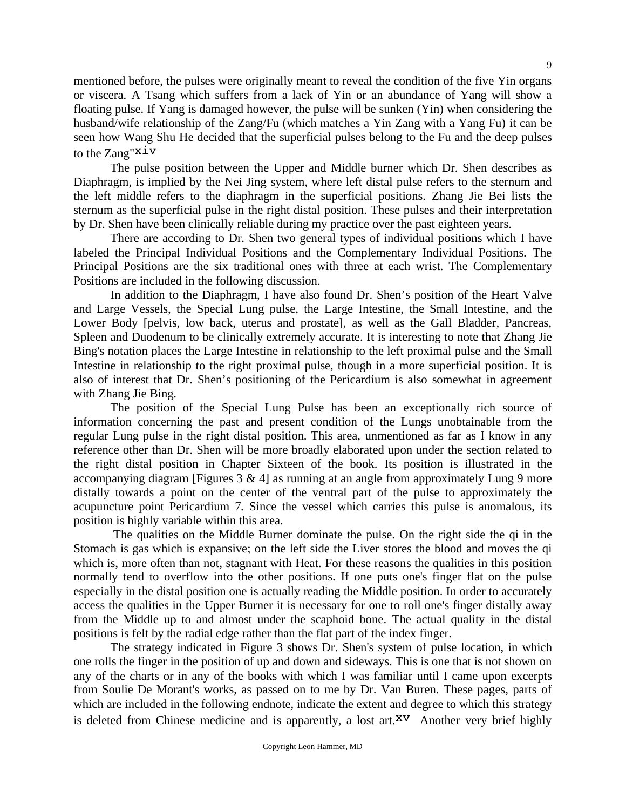mentioned before, the pulses were originally meant to reveal the condition of the five Yin organs or viscera. A Tsang which suffers from a lack of Yin or an abundance of Yang will show a floating pulse. If Yang is damaged however, the pulse will be sunken (Yin) when considering the husband/wife relationship of the Zang/Fu (which matches a Yin Zang with a Yang Fu) it can be seen how Wang Shu He decided that the superficial pulses belong to the Fu and the deep pulses to the Zang"xiv

 The pulse position between the Upper and Middle burner which Dr. Shen describes as Diaphragm, is implied by the Nei Jing system, where left distal pulse refers to the sternum and the left middle refers to the diaphragm in the superficial positions. Zhang Jie Bei lists the sternum as the superficial pulse in the right distal position. These pulses and their interpretation by Dr. Shen have been clinically reliable during my practice over the past eighteen years.

 There are according to Dr. Shen two general types of individual positions which I have labeled the Principal Individual Positions and the Complementary Individual Positions. The Principal Positions are the six traditional ones with three at each wrist. The Complementary Positions are included in the following discussion.

 In addition to the Diaphragm, I have also found Dr. Shen's position of the Heart Valve and Large Vessels, the Special Lung pulse, the Large Intestine, the Small Intestine, and the Lower Body [pelvis, low back, uterus and prostate], as well as the Gall Bladder, Pancreas, Spleen and Duodenum to be clinically extremely accurate. It is interesting to note that Zhang Jie Bing's notation places the Large Intestine in relationship to the left proximal pulse and the Small Intestine in relationship to the right proximal pulse, though in a more superficial position. It is also of interest that Dr. Shen's positioning of the Pericardium is also somewhat in agreement with Zhang Jie Bing.

 The position of the Special Lung Pulse has been an exceptionally rich source of information concerning the past and present condition of the Lungs unobtainable from the regular Lung pulse in the right distal position. This area, unmentioned as far as I know in any reference other than Dr. Shen will be more broadly elaborated upon under the section related to the right distal position in Chapter Sixteen of the book. Its position is illustrated in the accompanying diagram [Figures  $3 \& 4$ ] as running at an angle from approximately Lung 9 more distally towards a point on the center of the ventral part of the pulse to approximately the acupuncture point Pericardium 7. Since the vessel which carries this pulse is anomalous, its position is highly variable within this area.

 The qualities on the Middle Burner dominate the pulse. On the right side the qi in the Stomach is gas which is expansive; on the left side the Liver stores the blood and moves the qi which is, more often than not, stagnant with Heat. For these reasons the qualities in this position normally tend to overflow into the other positions. If one puts one's finger flat on the pulse especially in the distal position one is actually reading the Middle position. In order to accurately access the qualities in the Upper Burner it is necessary for one to roll one's finger distally away from the Middle up to and almost under the scaphoid bone. The actual quality in the distal positions is felt by the radial edge rather than the flat part of the index finger.

 The strategy indicated in Figure 3 shows Dr. Shen's system of pulse location, in which one rolls the finger in the position of up and down and sideways. This is one that is not shown on any of the charts or in any of the books with which I was familiar until I came upon excerpts from Soulie De Morant's works, as passed on to me by Dr. Van Buren. These pages, parts of which are included in the following endnote, indicate the extent and degree to which this strategy is deleted from Chinese medicine and is apparently, a lost art. $XV$  Another very brief highly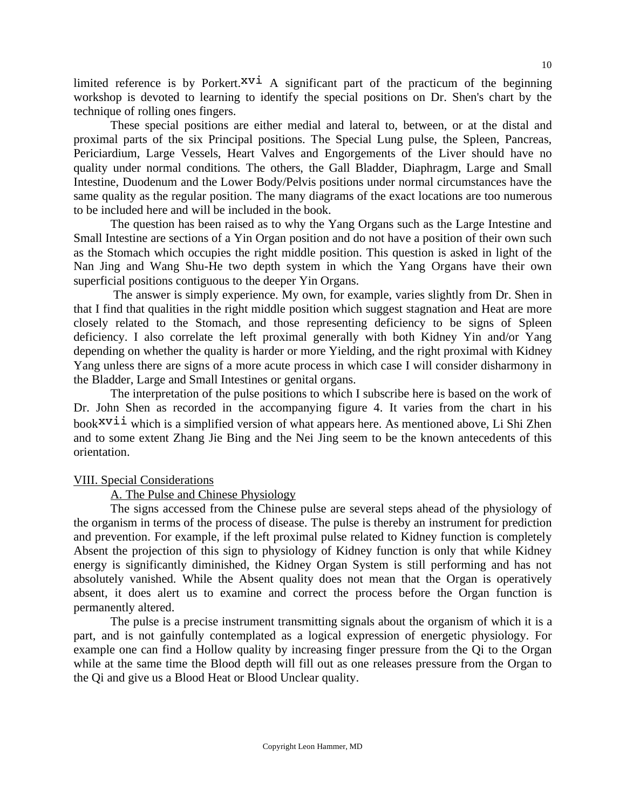limited reference is by Porkert. $x\overrightarrow{v}$  A significant part of the practicum of the beginning workshop is devoted to learning to identify the special positions on Dr. Shen's chart by the technique of rolling ones fingers.

 These special positions are either medial and lateral to, between, or at the distal and proximal parts of the six Principal positions. The Special Lung pulse, the Spleen, Pancreas, Periciardium, Large Vessels, Heart Valves and Engorgements of the Liver should have no quality under normal conditions. The others, the Gall Bladder, Diaphragm, Large and Small Intestine, Duodenum and the Lower Body/Pelvis positions under normal circumstances have the same quality as the regular position. The many diagrams of the exact locations are too numerous to be included here and will be included in the book.

 The question has been raised as to why the Yang Organs such as the Large Intestine and Small Intestine are sections of a Yin Organ position and do not have a position of their own such as the Stomach which occupies the right middle position. This question is asked in light of the Nan Jing and Wang Shu-He two depth system in which the Yang Organs have their own superficial positions contiguous to the deeper Yin Organs.

 The answer is simply experience. My own, for example, varies slightly from Dr. Shen in that I find that qualities in the right middle position which suggest stagnation and Heat are more closely related to the Stomach, and those representing deficiency to be signs of Spleen deficiency. I also correlate the left proximal generally with both Kidney Yin and/or Yang depending on whether the quality is harder or more Yielding, and the right proximal with Kidney Yang unless there are signs of a more acute process in which case I will consider disharmony in the Bladder, Large and Small Intestines or genital organs.

 The interpretation of the pulse positions to which I subscribe here is based on the work of Dr. John Shen as recorded in the accompanying figure 4. It varies from the chart in his book $xv$ <sup>i</sup> which is a simplified version of what appears here. As mentioned above, Li Shi Zhen and to some extent Zhang Jie Bing and the Nei Jing seem to be the known antecedents of this orientation.

#### VIII. Special Considerations

A. The Pulse and Chinese Physiology

 The signs accessed from the Chinese pulse are several steps ahead of the physiology of the organism in terms of the process of disease. The pulse is thereby an instrument for prediction and prevention. For example, if the left proximal pulse related to Kidney function is completely Absent the projection of this sign to physiology of Kidney function is only that while Kidney energy is significantly diminished, the Kidney Organ System is still performing and has not absolutely vanished. While the Absent quality does not mean that the Organ is operatively absent, it does alert us to examine and correct the process before the Organ function is permanently altered.

 The pulse is a precise instrument transmitting signals about the organism of which it is a part, and is not gainfully contemplated as a logical expression of energetic physiology. For example one can find a Hollow quality by increasing finger pressure from the Qi to the Organ while at the same time the Blood depth will fill out as one releases pressure from the Organ to the Qi and give us a Blood Heat or Blood Unclear quality.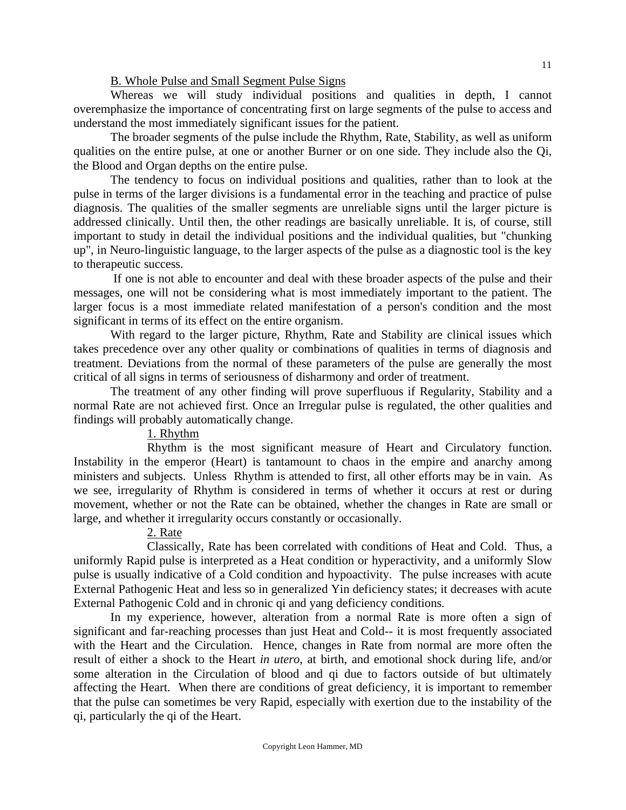#### B. Whole Pulse and Small Segment Pulse Signs

 Whereas we will study individual positions and qualities in depth, I cannot overemphasize the importance of concentrating first on large segments of the pulse to access and understand the most immediately significant issues for the patient.

 The broader segments of the pulse include the Rhythm, Rate, Stability, as well as uniform qualities on the entire pulse, at one or another Burner or on one side. They include also the Qi, the Blood and Organ depths on the entire pulse.

 The tendency to focus on individual positions and qualities, rather than to look at the pulse in terms of the larger divisions is a fundamental error in the teaching and practice of pulse diagnosis. The qualities of the smaller segments are unreliable signs until the larger picture is addressed clinically. Until then, the other readings are basically unreliable. It is, of course, still important to study in detail the individual positions and the individual qualities, but "chunking up", in Neuro-linguistic language, to the larger aspects of the pulse as a diagnostic tool is the key to therapeutic success.

 If one is not able to encounter and deal with these broader aspects of the pulse and their messages, one will not be considering what is most immediately important to the patient. The larger focus is a most immediate related manifestation of a person's condition and the most significant in terms of its effect on the entire organism.

 With regard to the larger picture, Rhythm, Rate and Stability are clinical issues which takes precedence over any other quality or combinations of qualities in terms of diagnosis and treatment. Deviations from the normal of these parameters of the pulse are generally the most critical of all signs in terms of seriousness of disharmony and order of treatment.

 The treatment of any other finding will prove superfluous if Regularity, Stability and a normal Rate are not achieved first. Once an Irregular pulse is regulated, the other qualities and findings will probably automatically change.

### 1. Rhythm

 Rhythm is the most significant measure of Heart and Circulatory function. Instability in the emperor (Heart) is tantamount to chaos in the empire and anarchy among ministers and subjects. Unless Rhythm is attended to first, all other efforts may be in vain. As we see, irregularity of Rhythm is considered in terms of whether it occurs at rest or during movement, whether or not the Rate can be obtained, whether the changes in Rate are small or large, and whether it irregularity occurs constantly or occasionally.

#### 2. Rate

 Classically, Rate has been correlated with conditions of Heat and Cold. Thus, a uniformly Rapid pulse is interpreted as a Heat condition or hyperactivity, and a uniformly Slow pulse is usually indicative of a Cold condition and hypoactivity. The pulse increases with acute External Pathogenic Heat and less so in generalized Yin deficiency states; it decreases with acute External Pathogenic Cold and in chronic qi and yang deficiency conditions.

 In my experience, however, alteration from a normal Rate is more often a sign of significant and far-reaching processes than just Heat and Cold-- it is most frequently associated with the Heart and the Circulation. Hence, changes in Rate from normal are more often the result of either a shock to the Heart *in utero*, at birth, and emotional shock during life, and/or some alteration in the Circulation of blood and qi due to factors outside of but ultimately affecting the Heart. When there are conditions of great deficiency, it is important to remember that the pulse can sometimes be very Rapid, especially with exertion due to the instability of the qi, particularly the qi of the Heart.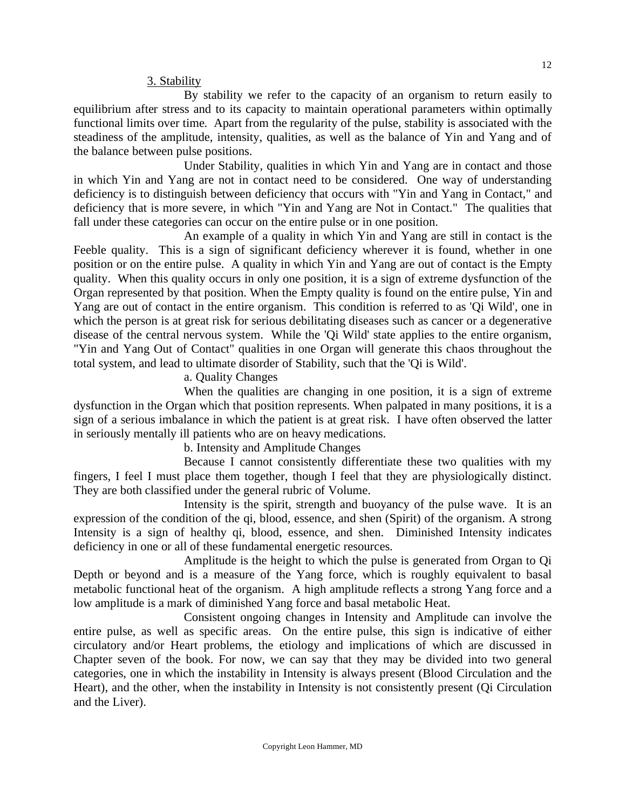3. Stability

 By stability we refer to the capacity of an organism to return easily to equilibrium after stress and to its capacity to maintain operational parameters within optimally functional limits over time. Apart from the regularity of the pulse, stability is associated with the steadiness of the amplitude, intensity, qualities, as well as the balance of Yin and Yang and of the balance between pulse positions.

 Under Stability, qualities in which Yin and Yang are in contact and those in which Yin and Yang are not in contact need to be considered. One way of understanding deficiency is to distinguish between deficiency that occurs with "Yin and Yang in Contact," and deficiency that is more severe, in which "Yin and Yang are Not in Contact." The qualities that fall under these categories can occur on the entire pulse or in one position.

 An example of a quality in which Yin and Yang are still in contact is the Feeble quality. This is a sign of significant deficiency wherever it is found, whether in one position or on the entire pulse. A quality in which Yin and Yang are out of contact is the Empty quality. When this quality occurs in only one position, it is a sign of extreme dysfunction of the Organ represented by that position. When the Empty quality is found on the entire pulse, Yin and Yang are out of contact in the entire organism. This condition is referred to as 'Qi Wild', one in which the person is at great risk for serious debilitating diseases such as cancer or a degenerative disease of the central nervous system. While the 'Qi Wild' state applies to the entire organism, "Yin and Yang Out of Contact" qualities in one Organ will generate this chaos throughout the total system, and lead to ultimate disorder of Stability, such that the 'Qi is Wild'.

a. Quality Changes

 When the qualities are changing in one position, it is a sign of extreme dysfunction in the Organ which that position represents. When palpated in many positions, it is a sign of a serious imbalance in which the patient is at great risk. I have often observed the latter in seriously mentally ill patients who are on heavy medications.

b. Intensity and Amplitude Changes

 Because I cannot consistently differentiate these two qualities with my fingers, I feel I must place them together, though I feel that they are physiologically distinct. They are both classified under the general rubric of Volume.

 Intensity is the spirit, strength and buoyancy of the pulse wave. It is an expression of the condition of the qi, blood, essence, and shen (Spirit) of the organism. A strong Intensity is a sign of healthy qi, blood, essence, and shen. Diminished Intensity indicates deficiency in one or all of these fundamental energetic resources.

 Amplitude is the height to which the pulse is generated from Organ to Qi Depth or beyond and is a measure of the Yang force, which is roughly equivalent to basal metabolic functional heat of the organism. A high amplitude reflects a strong Yang force and a low amplitude is a mark of diminished Yang force and basal metabolic Heat.

 Consistent ongoing changes in Intensity and Amplitude can involve the entire pulse, as well as specific areas. On the entire pulse, this sign is indicative of either circulatory and/or Heart problems, the etiology and implications of which are discussed in Chapter seven of the book. For now, we can say that they may be divided into two general categories, one in which the instability in Intensity is always present (Blood Circulation and the Heart), and the other, when the instability in Intensity is not consistently present (Qi Circulation and the Liver).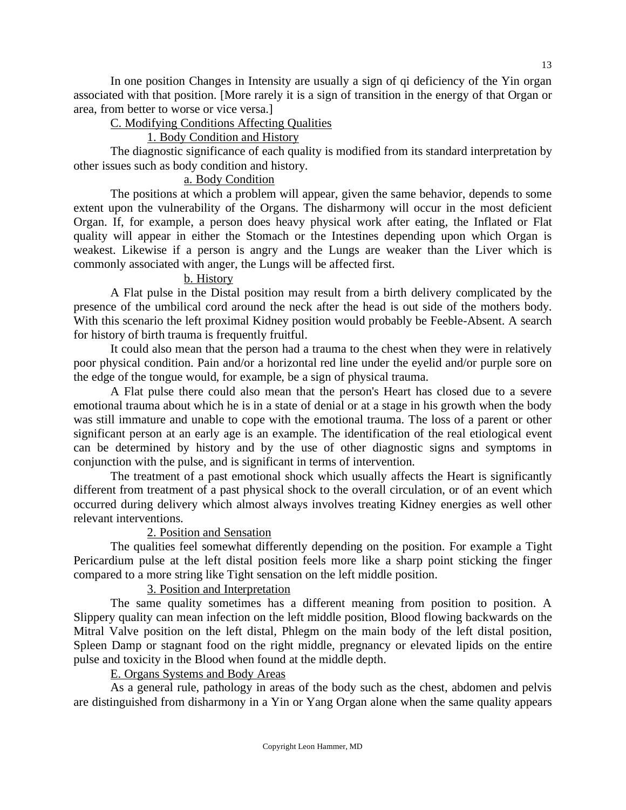In one position Changes in Intensity are usually a sign of qi deficiency of the Yin organ associated with that position. [More rarely it is a sign of transition in the energy of that Organ or area, from better to worse or vice versa.]

## C. Modifying Conditions Affecting Qualities

## 1. Body Condition and History

 The diagnostic significance of each quality is modified from its standard interpretation by other issues such as body condition and history.

## a. Body Condition

 The positions at which a problem will appear, given the same behavior, depends to some extent upon the vulnerability of the Organs. The disharmony will occur in the most deficient Organ. If, for example, a person does heavy physical work after eating, the Inflated or Flat quality will appear in either the Stomach or the Intestines depending upon which Organ is weakest. Likewise if a person is angry and the Lungs are weaker than the Liver which is commonly associated with anger, the Lungs will be affected first.

## b. History

 A Flat pulse in the Distal position may result from a birth delivery complicated by the presence of the umbilical cord around the neck after the head is out side of the mothers body. With this scenario the left proximal Kidney position would probably be Feeble-Absent. A search for history of birth trauma is frequently fruitful.

 It could also mean that the person had a trauma to the chest when they were in relatively poor physical condition. Pain and/or a horizontal red line under the eyelid and/or purple sore on the edge of the tongue would, for example, be a sign of physical trauma.

 A Flat pulse there could also mean that the person's Heart has closed due to a severe emotional trauma about which he is in a state of denial or at a stage in his growth when the body was still immature and unable to cope with the emotional trauma. The loss of a parent or other significant person at an early age is an example. The identification of the real etiological event can be determined by history and by the use of other diagnostic signs and symptoms in conjunction with the pulse, and is significant in terms of intervention.

 The treatment of a past emotional shock which usually affects the Heart is significantly different from treatment of a past physical shock to the overall circulation, or of an event which occurred during delivery which almost always involves treating Kidney energies as well other relevant interventions.

## 2. Position and Sensation

 The qualities feel somewhat differently depending on the position. For example a Tight Pericardium pulse at the left distal position feels more like a sharp point sticking the finger compared to a more string like Tight sensation on the left middle position.

### 3. Position and Interpretation

 The same quality sometimes has a different meaning from position to position. A Slippery quality can mean infection on the left middle position, Blood flowing backwards on the Mitral Valve position on the left distal, Phlegm on the main body of the left distal position, Spleen Damp or stagnant food on the right middle, pregnancy or elevated lipids on the entire pulse and toxicity in the Blood when found at the middle depth.

## E. Organs Systems and Body Areas

 As a general rule, pathology in areas of the body such as the chest, abdomen and pelvis are distinguished from disharmony in a Yin or Yang Organ alone when the same quality appears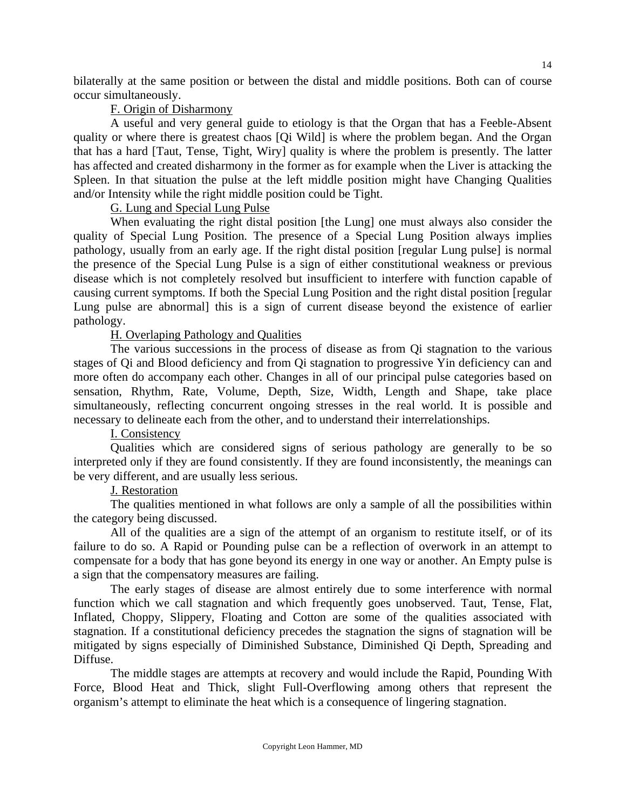bilaterally at the same position or between the distal and middle positions. Both can of course occur simultaneously.

#### F. Origin of Disharmony

 A useful and very general guide to etiology is that the Organ that has a Feeble-Absent quality or where there is greatest chaos [Qi Wild] is where the problem began. And the Organ that has a hard [Taut, Tense, Tight, Wiry] quality is where the problem is presently. The latter has affected and created disharmony in the former as for example when the Liver is attacking the Spleen. In that situation the pulse at the left middle position might have Changing Qualities and/or Intensity while the right middle position could be Tight.

### G. Lung and Special Lung Pulse

 When evaluating the right distal position [the Lung] one must always also consider the quality of Special Lung Position. The presence of a Special Lung Position always implies pathology, usually from an early age. If the right distal position [regular Lung pulse] is normal the presence of the Special Lung Pulse is a sign of either constitutional weakness or previous disease which is not completely resolved but insufficient to interfere with function capable of causing current symptoms. If both the Special Lung Position and the right distal position [regular Lung pulse are abnormal] this is a sign of current disease beyond the existence of earlier pathology.

### H. Overlaping Pathology and Qualities

 The various successions in the process of disease as from Qi stagnation to the various stages of Qi and Blood deficiency and from Qi stagnation to progressive Yin deficiency can and more often do accompany each other. Changes in all of our principal pulse categories based on sensation, Rhythm, Rate, Volume, Depth, Size, Width, Length and Shape, take place simultaneously, reflecting concurrent ongoing stresses in the real world. It is possible and necessary to delineate each from the other, and to understand their interrelationships.

### I. Consistency

 Qualities which are considered signs of serious pathology are generally to be so interpreted only if they are found consistently. If they are found inconsistently, the meanings can be very different, and are usually less serious.

### J. Restoration

 The qualities mentioned in what follows are only a sample of all the possibilities within the category being discussed.

 All of the qualities are a sign of the attempt of an organism to restitute itself, or of its failure to do so. A Rapid or Pounding pulse can be a reflection of overwork in an attempt to compensate for a body that has gone beyond its energy in one way or another. An Empty pulse is a sign that the compensatory measures are failing.

 The early stages of disease are almost entirely due to some interference with normal function which we call stagnation and which frequently goes unobserved. Taut, Tense, Flat, Inflated, Choppy, Slippery, Floating and Cotton are some of the qualities associated with stagnation. If a constitutional deficiency precedes the stagnation the signs of stagnation will be mitigated by signs especially of Diminished Substance, Diminished Qi Depth, Spreading and Diffuse.

 The middle stages are attempts at recovery and would include the Rapid, Pounding With Force, Blood Heat and Thick, slight Full-Overflowing among others that represent the organism's attempt to eliminate the heat which is a consequence of lingering stagnation.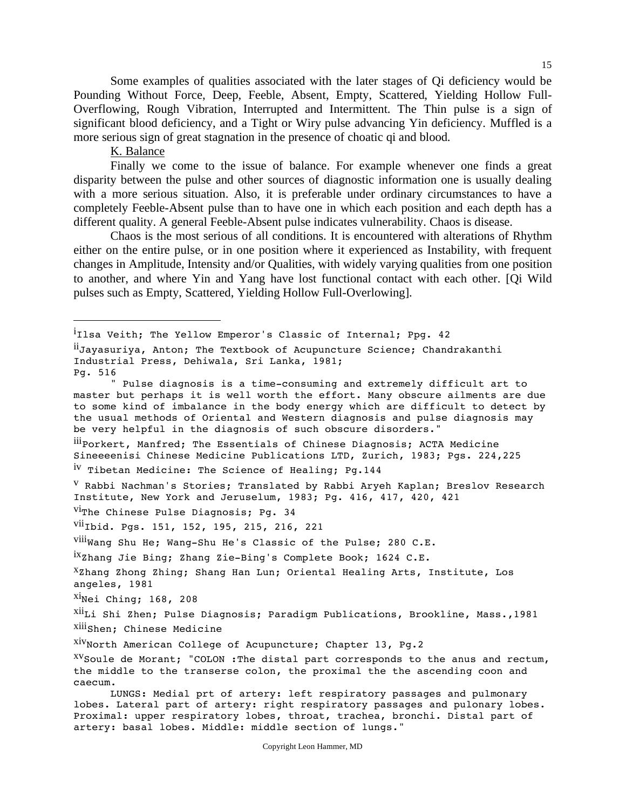Some examples of qualities associated with the later stages of Qi deficiency would be Pounding Without Force, Deep, Feeble, Absent, Empty, Scattered, Yielding Hollow Full-Overflowing, Rough Vibration, Interrupted and Intermittent. The Thin pulse is a sign of significant blood deficiency, and a Tight or Wiry pulse advancing Yin deficiency. Muffled is a more serious sign of great stagnation in the presence of choatic qi and blood.

K. Balance

 $\overline{a}$ 

 Finally we come to the issue of balance. For example whenever one finds a great disparity between the pulse and other sources of diagnostic information one is usually dealing with a more serious situation. Also, it is preferable under ordinary circumstances to have a completely Feeble-Absent pulse than to have one in which each position and each depth has a different quality. A general Feeble-Absent pulse indicates vulnerability. Chaos is disease.

 Chaos is the most serious of all conditions. It is encountered with alterations of Rhythm either on the entire pulse, or in one position where it experienced as Instability, with frequent changes in Amplitude, Intensity and/or Qualities, with widely varying qualities from one position to another, and where Yin and Yang have lost functional contact with each other. [Qi Wild pulses such as Empty, Scattered, Yielding Hollow Full-Overlowing].

.<br>'Ilsa Veith; The Yellow Emperor's Classic of Internal; Ppg. 42

iiJayasuriya, Anton; The Textbook of Acupuncture Science; Chandrakanthi Industrial Press, Dehiwala, Sri Lanka, 1981; Pg. 516 " Pulse diagnosis is a time-consuming and extremely difficult art to master but perhaps it is well worth the effort. Many obscure ailments are due to some kind of imbalance in the body energy which are difficult to detect by the usual methods of Oriental and Western diagnosis and pulse diagnosis may be very helpful in the diagnosis of such obscure disorders." ii<sub>Porkert,</sub> Manfred; The Essentials of Chinese Diagnosis; ACTA Medicine Sineeeenisi Chinese Medicine Publications LTD, Zurich, 1983; Pgs. 224,225 iv Tibetan Medicine: The Science of Healing; Pg.144 v Rabbi Nachman's Stories; Translated by Rabbi Aryeh Kaplan; Breslov Research Institute, New York and Jeruselum, 1983; Pg. 416, 417, 420, 421  $Vi$ The Chinese Pulse Diagnosis; Pg. 34 <sup>Vii</sup>Ibid. Pgs. 151, 152, 195, 215, 216, 221  $\overline{viii}$ Wang Shu He; Wang-Shu He's Classic of the Pulse; 280 C.E. ixzhang Jie Bing; Zhang Zie-Bing's Complete Book; 1624 C.E.  $X_Z$ hang Zhong Zhing; Shang Han Lun; Oriental Healing Arts, Institute, Los angeles, 1981  $X$ <sup>Xi</sup>Nei Ching; 168, 208 <sup>Xii</sup>Li Shi Zhen; Pulse Diagnosis; Paradigm Publications, Brookline, Mass.,1981 <sup>Xiii</sup>Shen; Chinese Medicine  $X<sup>IV</sup>$ North American College of Acupuncture; Chapter 13, Pq.2  $X<sup>V</sup>$  Soule de Morant; "COLON : The distal part corresponds to the anus and rectum, the middle to the transerse colon, the proximal the the ascending coon and caecum. LUNGS: Medial prt of artery: left respiratory passages and pulmonary lobes. Lateral part of artery: right respiratory passages and pulonary lobes. Proximal: upper respiratory lobes, throat, trachea, bronchi. Distal part of artery: basal lobes. Middle: middle section of lungs."